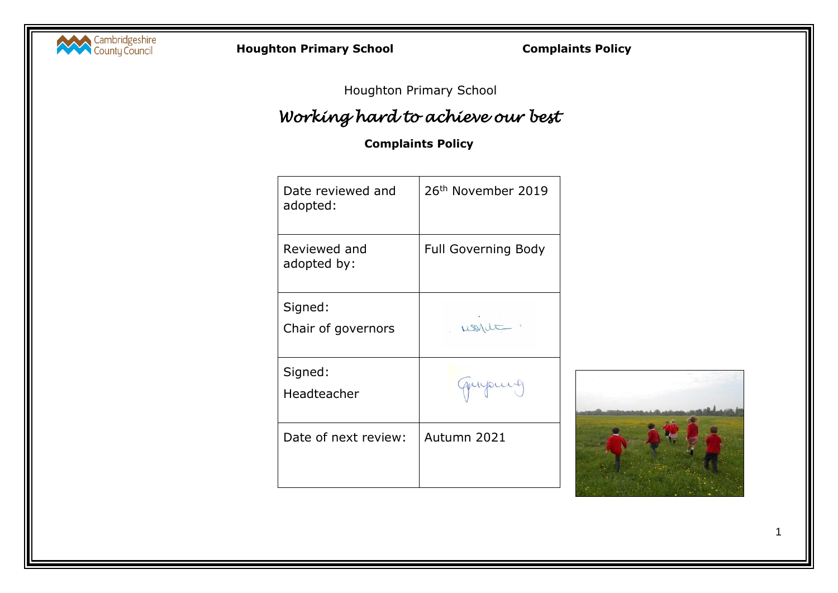

**Houghton Primary School Complaints Policy**

Houghton Primary School

# *Working hard to achieve our best*

# **Complaints Policy**

| Date reviewed and<br>adopted: | 26 <sup>th</sup> November 2019 |
|-------------------------------|--------------------------------|
| Reviewed and<br>adopted by:   | <b>Full Governing Body</b>     |
| Signed:<br>Chair of governors | wont                           |
| Signed:<br>Headteacher        |                                |
| Date of next review:          | Autumn 2021                    |

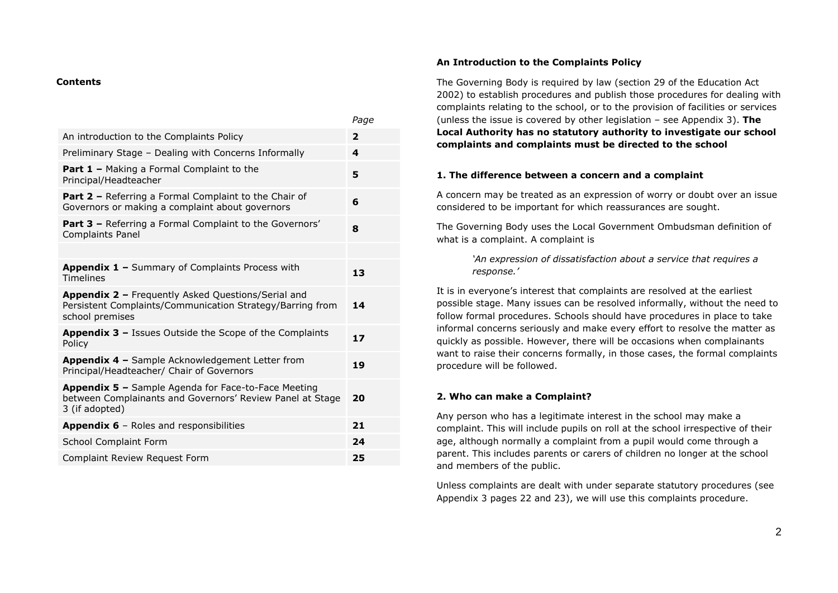#### **Contents**

|                                                                                                                                           | rage           |
|-------------------------------------------------------------------------------------------------------------------------------------------|----------------|
| An introduction to the Complaints Policy                                                                                                  | $\overline{2}$ |
| Preliminary Stage - Dealing with Concerns Informally                                                                                      | 4              |
| <b>Part 1 - Making a Formal Complaint to the</b><br>Principal/Headteacher                                                                 | 5              |
| <b>Part 2 - Referring a Formal Complaint to the Chair of</b><br>Governors or making a complaint about governors                           | 6              |
| <b>Part 3 - Referring a Formal Complaint to the Governors'</b><br>Complaints Panel                                                        | 8              |
|                                                                                                                                           |                |
| Appendix 1 - Summary of Complaints Process with<br><b>Timelines</b>                                                                       | 13             |
| Appendix 2 - Frequently Asked Questions/Serial and<br>Persistent Complaints/Communication Strategy/Barring from<br>school premises        |                |
| Appendix 3 - Issues Outside the Scope of the Complaints<br>Policy                                                                         | 17             |
| <b>Appendix 4 - Sample Acknowledgement Letter from</b><br>Principal/Headteacher/ Chair of Governors                                       | 19             |
| <b>Appendix 5 - Sample Agenda for Face-to-Face Meeting</b><br>between Complainants and Governors' Review Panel at Stage<br>3 (if adopted) | 20             |
| <b>Appendix 6</b> – Roles and responsibilities                                                                                            | 21             |
| School Complaint Form                                                                                                                     | 24             |
| Complaint Review Request Form                                                                                                             | 25             |

*Page*

#### **An Introduction to the Complaints Policy**

The Governing Body is required by law (section 29 of the Education Act 2002) to establish procedures and publish those procedures for dealing with complaints relating to the school, or to the provision of facilities or services (unless the issue is covered by other legislation – see Appendix 3). **The Local Authority has no statutory authority to investigate our school complaints and complaints must be directed to the school**

#### **1. The difference between a concern and a complaint**

A concern may be treated as an expression of worry or doubt over an issue considered to be important for which reassurances are sought.

The Governing Body uses the Local Government Ombudsman definition of what is a complaint. A complaint is

> *'An expression of dissatisfaction about a service that requires a response.'*

It is in everyone's interest that complaints are resolved at the earliest possible stage. Many issues can be resolved informally, without the need to follow formal procedures. Schools should have procedures in place to take informal concerns seriously and make every effort to resolve the matter as quickly as possible. However, there will be occasions when complainants want to raise their concerns formally, in those cases, the formal complaints procedure will be followed.

#### **2. Who can make a Complaint?**

Any person who has a legitimate interest in the school may make a complaint. This will include pupils on roll at the school irrespective of their age, although normally a complaint from a pupil would come through a parent. This includes parents or carers of children no longer at the school and members of the public.

Unless complaints are dealt with under separate statutory procedures (see Appendix 3 pages 22 and 23), we will use this complaints procedure.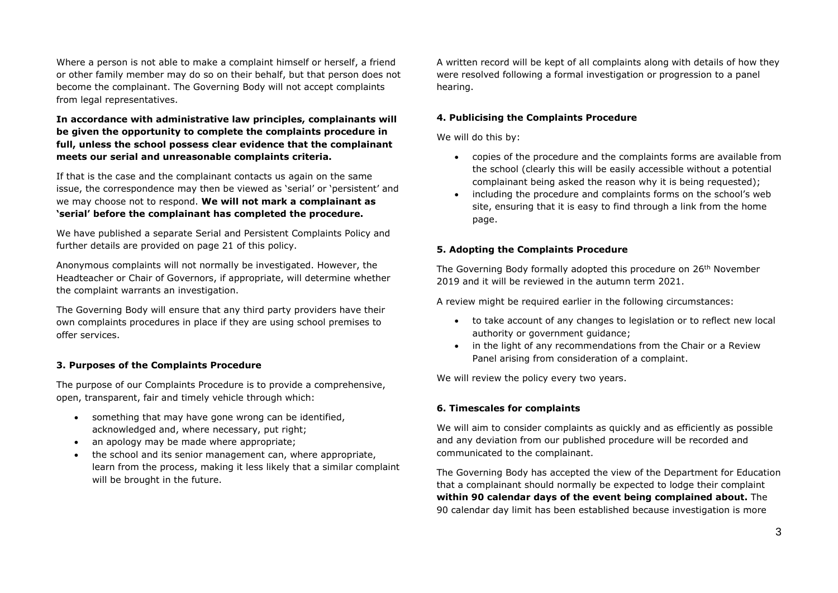Where a person is not able to make a complaint himself or herself, a friend or other family member may do so on their behalf, but that person does not become the complainant. The Governing Body will not accept complaints from legal representatives.

**In accordance with administrative law principles, complainants will be given the opportunity to complete the complaints procedure in full, unless the school possess clear evidence that the complainant meets our serial and unreasonable complaints criteria.**

If that is the case and the complainant contacts us again on the same issue, the correspondence may then be viewed as 'serial' or 'persistent' and we may choose not to respond. **We will not mark a complainant as 'serial' before the complainant has completed the procedure.**

We have published a separate Serial and Persistent Complaints Policy and further details are provided on page 21 of this policy.

Anonymous complaints will not normally be investigated. However, the Headteacher or Chair of Governors, if appropriate, will determine whether the complaint warrants an investigation.

The Governing Body will ensure that any third party providers have their own complaints procedures in place if they are using school premises to offer services.

### **3. Purposes of the Complaints Procedure**

The purpose of our Complaints Procedure is to provide a comprehensive, open, transparent, fair and timely vehicle through which:

- something that may have gone wrong can be identified, acknowledged and, where necessary, put right:
- an apology may be made where appropriate;
- the school and its senior management can, where appropriate, learn from the process, making it less likely that a similar complaint will be brought in the future.

A written record will be kept of all complaints along with details of how they were resolved following a formal investigation or progression to a panel hearing.

### **4. Publicising the Complaints Procedure**

We will do this by:

- copies of the procedure and the complaints forms are available from the school (clearly this will be easily accessible without a potential complainant being asked the reason why it is being requested);
- including the procedure and complaints forms on the school's web site, ensuring that it is easy to find through a link from the home page.

### **5. Adopting the Complaints Procedure**

The Governing Body formally adopted this procedure on 26<sup>th</sup> November 2019 and it will be reviewed in the autumn term 2021.

A review might be required earlier in the following circumstances:

- to take account of any changes to legislation or to reflect new local authority or government guidance;
- in the light of any recommendations from the Chair or a Review Panel arising from consideration of a complaint.

We will review the policy every two years.

### **6. Timescales for complaints**

We will aim to consider complaints as quickly and as efficiently as possible and any deviation from our published procedure will be recorded and communicated to the complainant.

The Governing Body has accepted the view of the Department for Education that a complainant should normally be expected to lodge their complaint **within 90 calendar days of the event being complained about.** The 90 calendar day limit has been established because investigation is more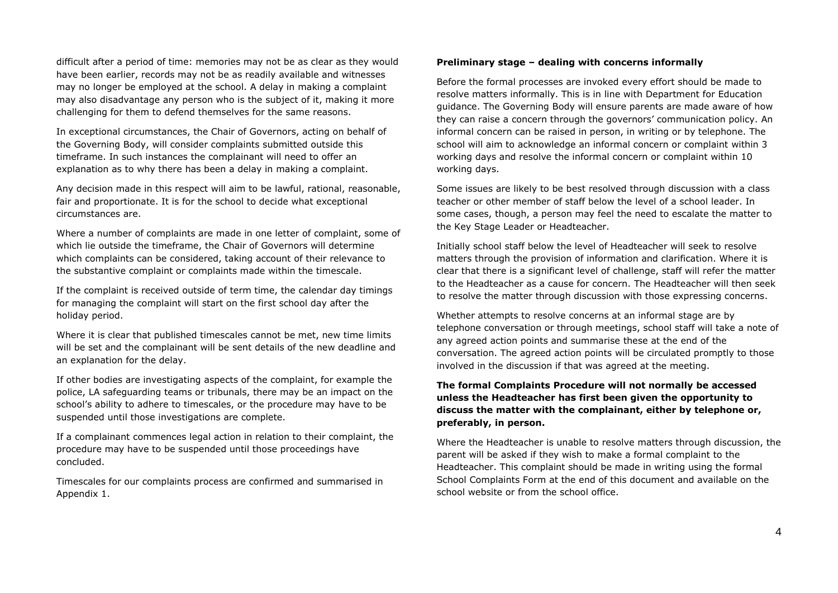difficult after a period of time: memories may not be as clear as they would have been earlier, records may not be as readily available and witnesses may no longer be employed at the school. A delay in making a complaint may also disadvantage any person who is the subject of it, making it more challenging for them to defend themselves for the same reasons.

In exceptional circumstances, the Chair of Governors, acting on behalf of the Governing Body, will consider complaints submitted outside this timeframe. In such instances the complainant will need to offer an explanation as to why there has been a delay in making a complaint.

Any decision made in this respect will aim to be lawful, rational, reasonable, fair and proportionate. It is for the school to decide what exceptional circumstances are.

Where a number of complaints are made in one letter of complaint, some of which lie outside the timeframe, the Chair of Governors will determine which complaints can be considered, taking account of their relevance to the substantive complaint or complaints made within the timescale.

If the complaint is received outside of term time, the calendar day timings for managing the complaint will start on the first school day after the holiday period.

Where it is clear that published timescales cannot be met, new time limits will be set and the complainant will be sent details of the new deadline and an explanation for the delay.

If other bodies are investigating aspects of the complaint, for example the police, LA safeguarding teams or tribunals, there may be an impact on the school's ability to adhere to timescales, or the procedure may have to be suspended until those investigations are complete.

If a complainant commences legal action in relation to their complaint, the procedure may have to be suspended until those proceedings have concluded.

Timescales for our complaints process are confirmed and summarised in Appendix 1.

#### **Preliminary stage – dealing with concerns informally**

Before the formal processes are invoked every effort should be made to resolve matters informally. This is in line with Department for Education guidance. The Governing Body will ensure parents are made aware of how they can raise a concern through the governors' communication policy. An informal concern can be raised in person, in writing or by telephone. The school will aim to acknowledge an informal concern or complaint within 3 working days and resolve the informal concern or complaint within 10 working days.

Some issues are likely to be best resolved through discussion with a class teacher or other member of staff below the level of a school leader. In some cases, though, a person may feel the need to escalate the matter to the Key Stage Leader or Headteacher.

Initially school staff below the level of Headteacher will seek to resolve matters through the provision of information and clarification. Where it is clear that there is a significant level of challenge, staff will refer the matter to the Headteacher as a cause for concern. The Headteacher will then seek to resolve the matter through discussion with those expressing concerns.

Whether attempts to resolve concerns at an informal stage are by telephone conversation or through meetings, school staff will take a note of any agreed action points and summarise these at the end of the conversation. The agreed action points will be circulated promptly to those involved in the discussion if that was agreed at the meeting.

### **The formal Complaints Procedure will not normally be accessed unless the Headteacher has first been given the opportunity to discuss the matter with the complainant, either by telephone or, preferably, in person.**

Where the Headteacher is unable to resolve matters through discussion, the parent will be asked if they wish to make a formal complaint to the Headteacher. This complaint should be made in writing using the formal School Complaints Form at the end of this document and available on the school website or from the school office.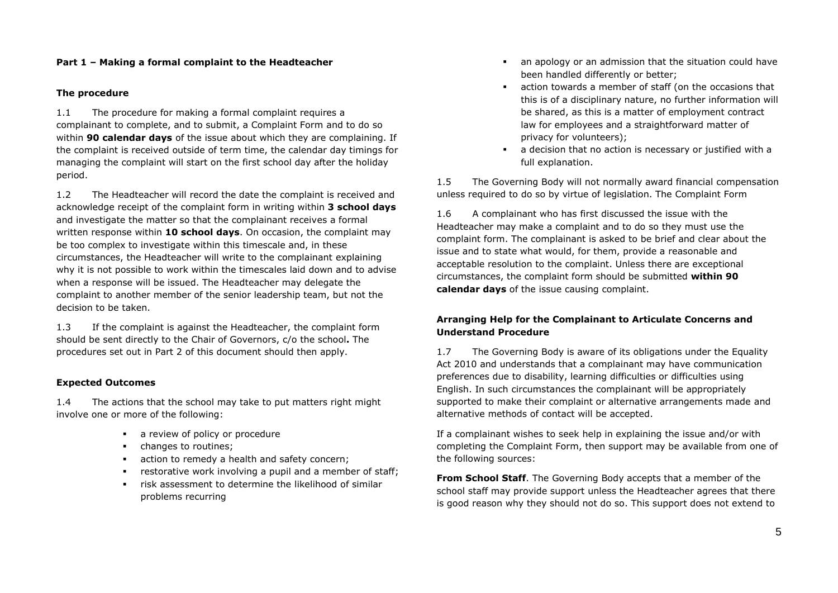### **Part 1 – Making a formal complaint to the Headteacher**

#### **The procedure**

1.1 The procedure for making a formal complaint requires a complainant to complete, and to submit, a Complaint Form and to do so within **90 calendar days** of the issue about which they are complaining. If the complaint is received outside of term time, the calendar day timings for managing the complaint will start on the first school day after the holiday period.

1.2 The Headteacher will record the date the complaint is received and acknowledge receipt of the complaint form in writing within **3 school days**  and investigate the matter so that the complainant receives a formal written response within **10 school days**. On occasion, the complaint may be too complex to investigate within this timescale and, in these circumstances, the Headteacher will write to the complainant explaining why it is not possible to work within the timescales laid down and to advise when a response will be issued. The Headteacher may delegate the complaint to another member of the senior leadership team, but not the decision to be taken.

1.3 If the complaint is against the Headteacher, the complaint form should be sent directly to the Chair of Governors, c/o the school**.** The procedures set out in Part 2 of this document should then apply.

### **Expected Outcomes**

1.4 The actions that the school may take to put matters right might involve one or more of the following:

- **a** review of policy or procedure
- **•** changes to routines;
- action to remedy a health and safety concern;
- restorative work involving a pupil and a member of staff;
- risk assessment to determine the likelihood of similar problems recurring
- an apology or an admission that the situation could have been handled differently or better;
- action towards a member of staff (on the occasions that this is of a disciplinary nature, no further information will be shared, as this is a matter of employment contract law for employees and a straightforward matter of privacy for volunteers);
- a decision that no action is necessary or justified with a full explanation.

1.5 The Governing Body will not normally award financial compensation unless required to do so by virtue of legislation. The Complaint Form

1.6 A complainant who has first discussed the issue with the Headteacher may make a complaint and to do so they must use the complaint form. The complainant is asked to be brief and clear about the issue and to state what would, for them, provide a reasonable and acceptable resolution to the complaint. Unless there are exceptional circumstances, the complaint form should be submitted **within 90 calendar days** of the issue causing complaint.

### **Arranging Help for the Complainant to Articulate Concerns and Understand Procedure**

1.7 The Governing Body is aware of its obligations under the Equality Act 2010 and understands that a complainant may have communication preferences due to disability, learning difficulties or difficulties using English. In such circumstances the complainant will be appropriately supported to make their complaint or alternative arrangements made and alternative methods of contact will be accepted.

If a complainant wishes to seek help in explaining the issue and/or with completing the Complaint Form, then support may be available from one of the following sources:

**From School Staff**. The Governing Body accepts that a member of the school staff may provide support unless the Headteacher agrees that there is good reason why they should not do so. This support does not extend to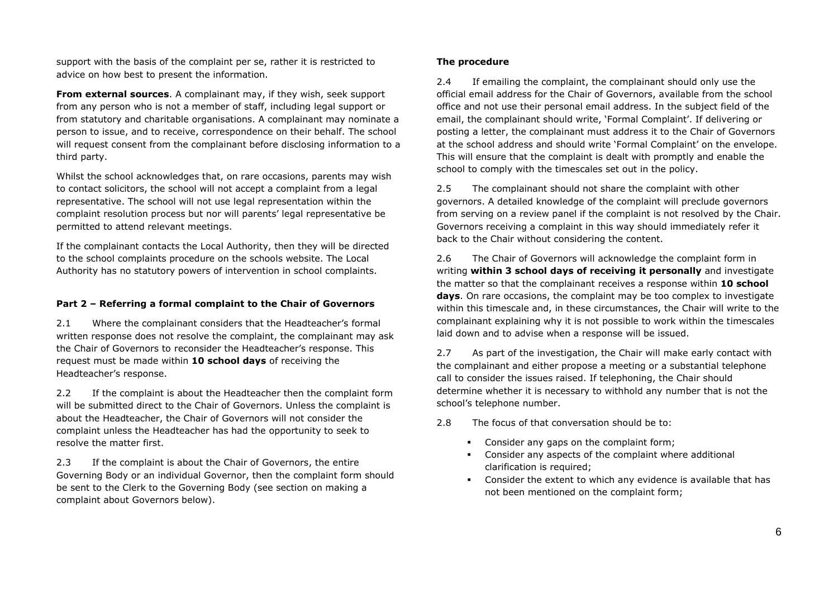support with the basis of the complaint per se, rather it is restricted to advice on how best to present the information.

**From external sources**. A complainant may, if they wish, seek support from any person who is not a member of staff, including legal support or from statutory and charitable organisations. A complainant may nominate a person to issue, and to receive, correspondence on their behalf. The school will request consent from the complainant before disclosing information to a third party.

Whilst the school acknowledges that, on rare occasions, parents may wish to contact solicitors, the school will not accept a complaint from a legal representative. The school will not use legal representation within the complaint resolution process but nor will parents' legal representative be permitted to attend relevant meetings.

If the complainant contacts the Local Authority, then they will be directed to the school complaints procedure on the schools website. The Local Authority has no statutory powers of intervention in school complaints.

### **Part 2 – Referring a formal complaint to the Chair of Governors**

2.1 Where the complainant considers that the Headteacher's formal written response does not resolve the complaint, the complainant may ask the Chair of Governors to reconsider the Headteacher's response. This request must be made within **10 school days** of receiving the Headteacher's response.

2.2 If the complaint is about the Headteacher then the complaint form will be submitted direct to the Chair of Governors. Unless the complaint is about the Headteacher, the Chair of Governors will not consider the complaint unless the Headteacher has had the opportunity to seek to resolve the matter first.

2.3 If the complaint is about the Chair of Governors, the entire Governing Body or an individual Governor, then the complaint form should be sent to the Clerk to the Governing Body (see section on making a complaint about Governors below).

### **The procedure**

2.4 If emailing the complaint, the complainant should only use the official email address for the Chair of Governors, available from the school office and not use their personal email address. In the subject field of the email, the complainant should write, 'Formal Complaint'. If delivering or posting a letter, the complainant must address it to the Chair of Governors at the school address and should write 'Formal Complaint' on the envelope. This will ensure that the complaint is dealt with promptly and enable the school to comply with the timescales set out in the policy.

2.5 The complainant should not share the complaint with other governors. A detailed knowledge of the complaint will preclude governors from serving on a review panel if the complaint is not resolved by the Chair. Governors receiving a complaint in this way should immediately refer it back to the Chair without considering the content.

2.6 The Chair of Governors will acknowledge the complaint form in writing **within 3 school days of receiving it personally** and investigate the matter so that the complainant receives a response within **10 school days**. On rare occasions, the complaint may be too complex to investigate within this timescale and, in these circumstances, the Chair will write to the complainant explaining why it is not possible to work within the timescales laid down and to advise when a response will be issued.

2.7 As part of the investigation, the Chair will make early contact with the complainant and either propose a meeting or a substantial telephone call to consider the issues raised. If telephoning, the Chair should determine whether it is necessary to withhold any number that is not the school's telephone number.

2.8 The focus of that conversation should be to:

- **Consider any gaps on the complaint form;**
- Consider any aspects of the complaint where additional clarification is required;
- Consider the extent to which any evidence is available that has not been mentioned on the complaint form;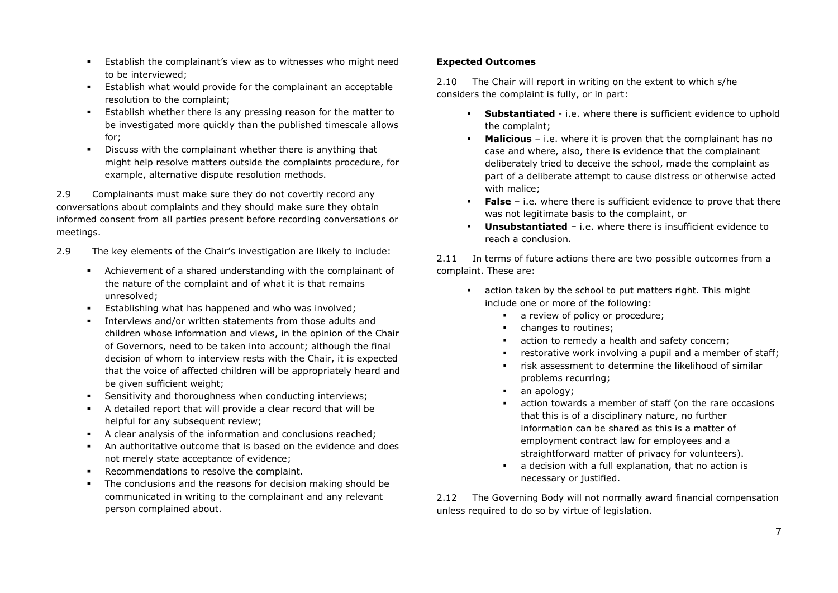- Establish the complainant's view as to witnesses who might need to be interviewed;
- Establish what would provide for the complainant an acceptable resolution to the complaint;
- **Establish whether there is any pressing reason for the matter to** be investigated more quickly than the published timescale allows for;
- Discuss with the complainant whether there is anything that might help resolve matters outside the complaints procedure, for example, alternative dispute resolution methods.

2.9 Complainants must make sure they do not covertly record any conversations about complaints and they should make sure they obtain informed consent from all parties present before recording conversations or meetings.

- 2.9 The key elements of the Chair's investigation are likely to include:
	- Achievement of a shared understanding with the complainant of the nature of the complaint and of what it is that remains unresolved;
	- Establishing what has happened and who was involved;
	- Interviews and/or written statements from those adults and children whose information and views, in the opinion of the Chair of Governors, need to be taken into account; although the final decision of whom to interview rests with the Chair, it is expected that the voice of affected children will be appropriately heard and be given sufficient weight;
	- Sensitivity and thoroughness when conducting interviews;
	- A detailed report that will provide a clear record that will be helpful for any subsequent review;
	- A clear analysis of the information and conclusions reached;
	- An authoritative outcome that is based on the evidence and does not merely state acceptance of evidence;
	- Recommendations to resolve the complaint.
	- The conclusions and the reasons for decision making should be communicated in writing to the complainant and any relevant person complained about.

### **Expected Outcomes**

2.10 The Chair will report in writing on the extent to which s/he considers the complaint is fully, or in part:

- **Substantiated** i.e. where there is sufficient evidence to uphold the complaint;
- **Malicious** i.e. where it is proven that the complainant has no case and where, also, there is evidence that the complainant deliberately tried to deceive the school, made the complaint as part of a deliberate attempt to cause distress or otherwise acted with malice;
- **False** i.e. where there is sufficient evidence to prove that there was not legitimate basis to the complaint, or
- **Unsubstantiated** i.e. where there is insufficient evidence to reach a conclusion.

2.11 In terms of future actions there are two possible outcomes from a complaint. These are:

- action taken by the school to put matters right. This might include one or more of the following:
	- a review of policy or procedure;
	- changes to routines;
	- action to remedy a health and safety concern;
	- restorative work involving a pupil and a member of staff;
	- risk assessment to determine the likelihood of similar problems recurring;
	- an apology;
	- action towards a member of staff (on the rare occasions that this is of a disciplinary nature, no further information can be shared as this is a matter of employment contract law for employees and a straightforward matter of privacy for volunteers).
	- a decision with a full explanation, that no action is necessary or justified.

2.12 The Governing Body will not normally award financial compensation unless required to do so by virtue of legislation.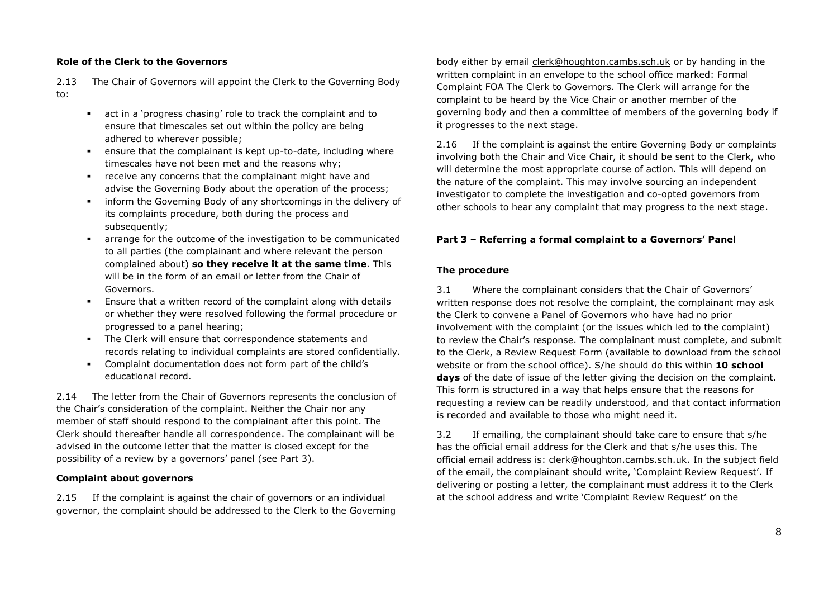### **Role of the Clerk to the Governors**

2.13 The Chair of Governors will appoint the Clerk to the Governing Body to:

- act in a 'progress chasing' role to track the complaint and to ensure that timescales set out within the policy are being adhered to wherever possible;
- ensure that the complainant is kept up-to-date, including where timescales have not been met and the reasons why;
- receive any concerns that the complainant might have and advise the Governing Body about the operation of the process;
- **EXEDENT** inform the Governing Body of any shortcomings in the delivery of its complaints procedure, both during the process and subsequently;
- arrange for the outcome of the investigation to be communicated to all parties (the complainant and where relevant the person complained about) **so they receive it at the same time**. This will be in the form of an email or letter from the Chair of Governors.
- Ensure that a written record of the complaint along with details or whether they were resolved following the formal procedure or progressed to a panel hearing;
- The Clerk will ensure that correspondence statements and records relating to individual complaints are stored confidentially.
- Complaint documentation does not form part of the child's educational record.

2.14 The letter from the Chair of Governors represents the conclusion of the Chair's consideration of the complaint. Neither the Chair nor any member of staff should respond to the complainant after this point. The Clerk should thereafter handle all correspondence. The complainant will be advised in the outcome letter that the matter is closed except for the possibility of a review by a governors' panel (see Part 3).

### **Complaint about governors**

2.15 If the complaint is against the chair of governors or an individual governor, the complaint should be addressed to the Clerk to the Governing body either by email [clerk@houghton.cambs.sch.uk](mailto:clerk@houghton.cambs.sch.uk) or by handing in the written complaint in an envelope to the school office marked: Formal Complaint FOA The Clerk to Governors. The Clerk will arrange for the complaint to be heard by the Vice Chair or another member of the governing body and then a committee of members of the governing body if it progresses to the next stage.

2.16 If the complaint is against the entire Governing Body or complaints involving both the Chair and Vice Chair, it should be sent to the Clerk, who will determine the most appropriate course of action. This will depend on the nature of the complaint. This may involve sourcing an independent investigator to complete the investigation and co-opted governors from other schools to hear any complaint that may progress to the next stage.

### **Part 3 – Referring a formal complaint to a Governors' Panel**

#### **The procedure**

3.1 Where the complainant considers that the Chair of Governors' written response does not resolve the complaint, the complainant may ask the Clerk to convene a Panel of Governors who have had no prior involvement with the complaint (or the issues which led to the complaint) to review the Chair's response. The complainant must complete, and submit to the Clerk, a Review Request Form (available to download from the school website or from the school office). S/he should do this within **10 school days** of the date of issue of the letter giving the decision on the complaint. This form is structured in a way that helps ensure that the reasons for requesting a review can be readily understood, and that contact information is recorded and available to those who might need it.

3.2 If emailing, the complainant should take care to ensure that s/he has the official email address for the Clerk and that s/he uses this. The official email address is: clerk@houghton.cambs.sch.uk. In the subject field of the email, the complainant should write, 'Complaint Review Request'. If delivering or posting a letter, the complainant must address it to the Clerk at the school address and write 'Complaint Review Request' on the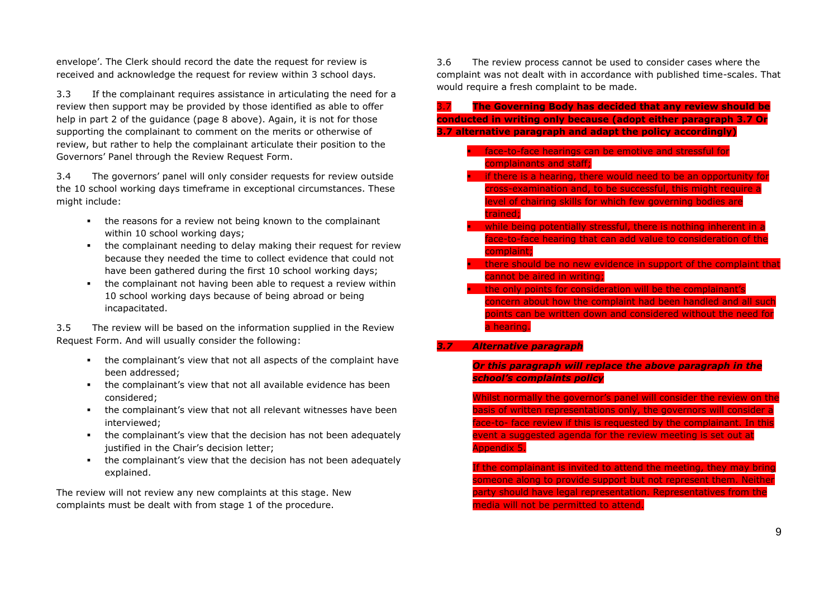envelope'. The Clerk should record the date the request for review is received and acknowledge the request for review within 3 school days.

3.3 If the complainant requires assistance in articulating the need for a review then support may be provided by those identified as able to offer help in part 2 of the quidance (page 8 above). Again, it is not for those supporting the complainant to comment on the merits or otherwise of review, but rather to help the complainant articulate their position to the Governors' Panel through the Review Request Form.

3.4 The governors' panel will only consider requests for review outside the 10 school working days timeframe in exceptional circumstances. These might include:

- the reasons for a review not being known to the complainant within 10 school working days;
- the complainant needing to delay making their request for review because they needed the time to collect evidence that could not have been gathered during the first 10 school working days;
- the complainant not having been able to request a review within 10 school working days because of being abroad or being incapacitated.

3.5 The review will be based on the information supplied in the Review Request Form. And will usually consider the following:

- the complainant's view that not all aspects of the complaint have been addressed;
- the complainant's view that not all available evidence has been considered;
- the complainant's view that not all relevant witnesses have been interviewed;
- the complainant's view that the decision has not been adequately justified in the Chair's decision letter;
- the complainant's view that the decision has not been adequately explained.

The review will not review any new complaints at this stage. New complaints must be dealt with from stage 1 of the procedure.

3.6 The review process cannot be used to consider cases where the complaint was not dealt with in accordance with published time-scales. That would require a fresh complaint to be made.

- 3.7 **The Governing Body has decided that any review should be conducted in writing only because (adopt either paragraph 3.7 Or 3.7 alternative paragraph and adapt the policy accordingly)**
	- face-to-face hearings can be emotive and stressful for complainants and staff;
	- **if there is a hearing, there would need to be an opportunity for** cross-examination and, to be successful, this might require a level of chairing skills for which few governing bodies are trained;
	- while being potentially stressful, there is nothing inherent in a face-to-face hearing that can add value to consideration of the complaint;
	- there should be no new evidence in support of the complaint that cannot be aired in writing;
	- the only points for consideration will be the complainant's concern about how the complaint had been handled and all such points can be written down and considered without the need for a hearing.
- *3.7 Alternative paragraph*

*Or this paragraph will replace the above paragraph in the school's complaints policy*

Whilst normally the governor's panel will consider the review on the basis of written representations only, the governors will consider a face-to- face review if this is requested by the complainant. In this event a suggested agenda for the review meeting is set out at Appendix 5.

If the complainant is invited to attend the meeting, they may bring someone along to provide support but not represent them. Neither party should have legal representation. Representatives from the media will not be permitted to attend.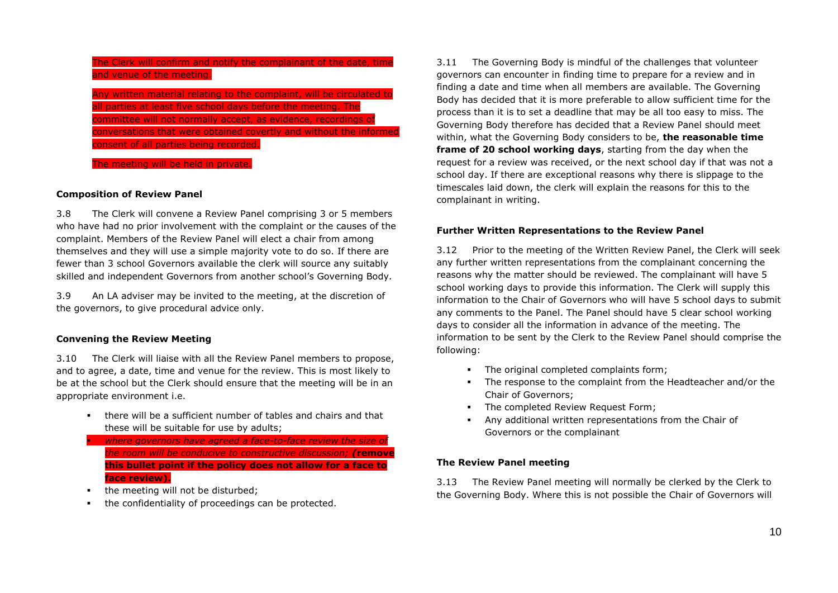The Clerk will confirm and notify the complainant of the date, time and venue of the meeting.

Any written material relating to the complaint, will be circulated to all parties at least five school days before the meeting. The committee will not normally accept, as evidence, recordings of conversations that were obtained covertly and without the informed consent of all parties being recorded.

The meeting will be held in private.

#### **Composition of Review Panel**

3.8 The Clerk will convene a Review Panel comprising 3 or 5 members who have had no prior involvement with the complaint or the causes of the complaint. Members of the Review Panel will elect a chair from among themselves and they will use a simple majority vote to do so. If there are fewer than 3 school Governors available the clerk will source any suitably skilled and independent Governors from another school's Governing Body.

3.9 An LA adviser may be invited to the meeting, at the discretion of the governors, to give procedural advice only.

### **Convening the Review Meeting**

3.10 The Clerk will liaise with all the Review Panel members to propose, and to agree, a date, time and venue for the review. This is most likely to be at the school but the Clerk should ensure that the meeting will be in an appropriate environment i.e.

- there will be a sufficient number of tables and chairs and that these will be suitable for use by adults;
- **where governors have agreed a face-to-face review the size of** *the room will be conducive to constructive discussion; (***remove this bullet point if the policy does not allow for a face to face review).**
- the meeting will not be disturbed:
- the confidentiality of proceedings can be protected.

3.11 The Governing Body is mindful of the challenges that volunteer governors can encounter in finding time to prepare for a review and in finding a date and time when all members are available. The Governing Body has decided that it is more preferable to allow sufficient time for the process than it is to set a deadline that may be all too easy to miss. The Governing Body therefore has decided that a Review Panel should meet within, what the Governing Body considers to be, **the reasonable time frame of 20 school working days**, starting from the day when the request for a review was received, or the next school day if that was not a school day. If there are exceptional reasons why there is slippage to the timescales laid down, the clerk will explain the reasons for this to the complainant in writing.

#### **Further Written Representations to the Review Panel**

3.12 Prior to the meeting of the Written Review Panel, the Clerk will seek any further written representations from the complainant concerning the reasons why the matter should be reviewed. The complainant will have 5 school working days to provide this information. The Clerk will supply this information to the Chair of Governors who will have 5 school days to submit any comments to the Panel. The Panel should have 5 clear school working days to consider all the information in advance of the meeting. The information to be sent by the Clerk to the Review Panel should comprise the following:

- The original completed complaints form;
- The response to the complaint from the Headteacher and/or the Chair of Governors;
- **The completed Review Request Form;**
- Any additional written representations from the Chair of Governors or the complainant

#### **The Review Panel meeting**

3.13 The Review Panel meeting will normally be clerked by the Clerk to the Governing Body. Where this is not possible the Chair of Governors will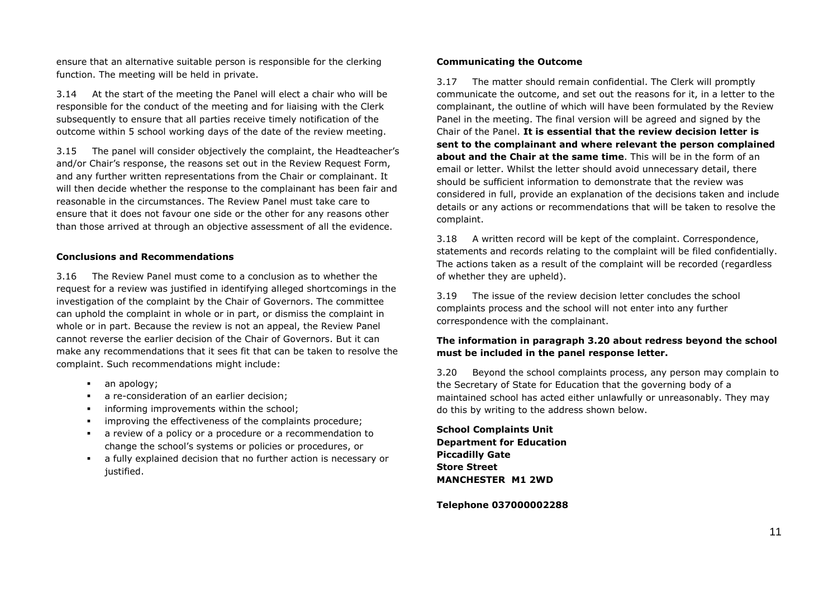ensure that an alternative suitable person is responsible for the clerking function. The meeting will be held in private.

3.14 At the start of the meeting the Panel will elect a chair who will be responsible for the conduct of the meeting and for liaising with the Clerk subsequently to ensure that all parties receive timely notification of the outcome within 5 school working days of the date of the review meeting.

3.15 The panel will consider objectively the complaint, the Headteacher's and/or Chair's response, the reasons set out in the Review Request Form, and any further written representations from the Chair or complainant. It will then decide whether the response to the complainant has been fair and reasonable in the circumstances. The Review Panel must take care to ensure that it does not favour one side or the other for any reasons other than those arrived at through an objective assessment of all the evidence.

### **Conclusions and Recommendations**

3.16 The Review Panel must come to a conclusion as to whether the request for a review was justified in identifying alleged shortcomings in the investigation of the complaint by the Chair of Governors. The committee can uphold the complaint in whole or in part, or dismiss the complaint in whole or in part. Because the review is not an appeal, the Review Panel cannot reverse the earlier decision of the Chair of Governors. But it can make any recommendations that it sees fit that can be taken to resolve the complaint. Such recommendations might include:

- an apology;
- a re-consideration of an earlier decision;
- **informing improvements within the school:**
- improving the effectiveness of the complaints procedure;
- a review of a policy or a procedure or a recommendation to change the school's systems or policies or procedures, or
- a fully explained decision that no further action is necessary or justified.

### **Communicating the Outcome**

3.17 The matter should remain confidential. The Clerk will promptly communicate the outcome, and set out the reasons for it, in a letter to the complainant, the outline of which will have been formulated by the Review Panel in the meeting. The final version will be agreed and signed by the Chair of the Panel. **It is essential that the review decision letter is sent to the complainant and where relevant the person complained about and the Chair at the same time**. This will be in the form of an email or letter. Whilst the letter should avoid unnecessary detail, there should be sufficient information to demonstrate that the review was considered in full, provide an explanation of the decisions taken and include details or any actions or recommendations that will be taken to resolve the complaint.

3.18 A written record will be kept of the complaint. Correspondence, statements and records relating to the complaint will be filed confidentially. The actions taken as a result of the complaint will be recorded (regardless of whether they are upheld).

3.19 The issue of the review decision letter concludes the school complaints process and the school will not enter into any further correspondence with the complainant.

### **The information in paragraph 3.20 about redress beyond the school must be included in the panel response letter.**

3.20 Beyond the school complaints process, any person may complain to the Secretary of State for Education that the governing body of a maintained school has acted either unlawfully or unreasonably. They may do this by writing to the address shown below.

**School Complaints Unit Department for Education Piccadilly Gate Store Street MANCHESTER M1 2WD**

**Telephone 037000002288**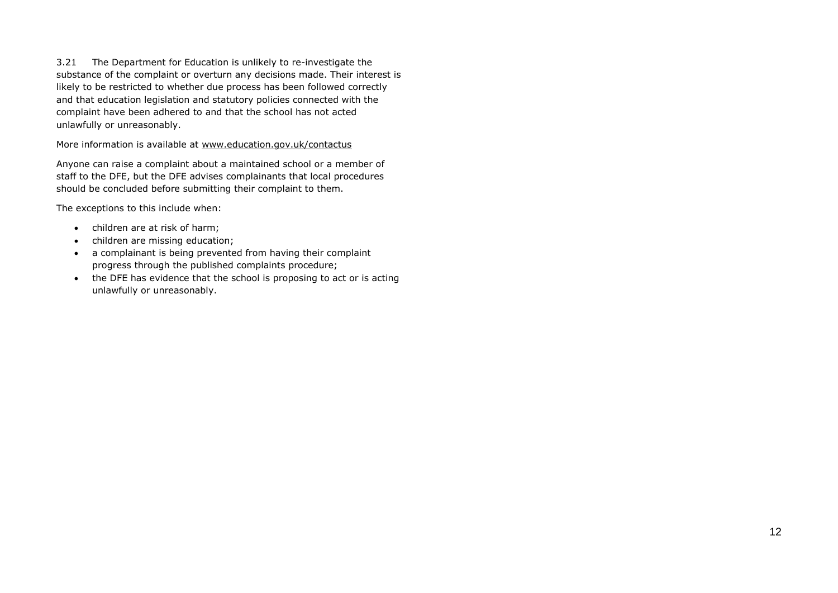3.21 The Department for Education is unlikely to re-investigate the substance of the complaint or overturn any decisions made. Their interest is likely to be restricted to whether due process has been followed correctly and that education legislation and statutory policies connected with the complaint have been adhered to and that the school has not acted unlawfully or unreasonably.

More information is available at [www.education.gov.uk/contactus](http://www.education.gov.uk/contactus)

Anyone can raise a complaint about a maintained school or a member of staff to the DFE, but the DFE advises complainants that local procedures should be concluded before submitting their complaint to them.

The exceptions to this include when:

- children are at risk of harm;
- children are missing education;
- a complainant is being prevented from having their complaint progress through the published complaints procedure;
- the DFE has evidence that the school is proposing to act or is acting unlawfully or unreasonably.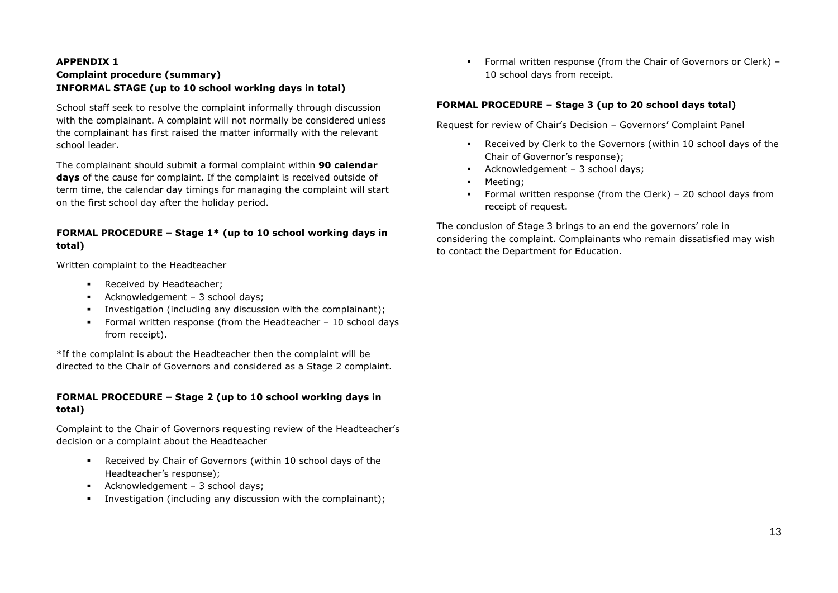### **APPENDIX 1 Complaint procedure (summary) INFORMAL STAGE (up to 10 school working days in total)**

School staff seek to resolve the complaint informally through discussion with the complainant. A complaint will not normally be considered unless the complainant has first raised the matter informally with the relevant school leader.

The complainant should submit a formal complaint within **90 calendar days** of the cause for complaint. If the complaint is received outside of term time, the calendar day timings for managing the complaint will start on the first school day after the holiday period.

### **FORMAL PROCEDURE – Stage 1\* (up to 10 school working days in total)**

Written complaint to the Headteacher

- Received by Headteacher;
- Acknowledgement 3 school days;
- Investigation (including any discussion with the complainant);
- Formal written response (from the Headteacher 10 school days from receipt).

\*If the complaint is about the Headteacher then the complaint will be directed to the Chair of Governors and considered as a Stage 2 complaint.

### **FORMAL PROCEDURE – Stage 2 (up to 10 school working days in total)**

Complaint to the Chair of Governors requesting review of the Headteacher's decision or a complaint about the Headteacher

- Received by Chair of Governors (within 10 school days of the Headteacher's response);
- Acknowledgement 3 school days;
- Investigation (including any discussion with the complainant);

 Formal written response (from the Chair of Governors or Clerk) – 10 school days from receipt.

### **FORMAL PROCEDURE – Stage 3 (up to 20 school days total)**

Request for review of Chair's Decision – Governors' Complaint Panel

- Received by Clerk to the Governors (within 10 school days of the Chair of Governor's response);
- Acknowledgement 3 school days;
- Meeting;
- Formal written response (from the Clerk) 20 school days from receipt of request.

The conclusion of Stage 3 brings to an end the governors' role in considering the complaint. Complainants who remain dissatisfied may wish to contact the Department for Education.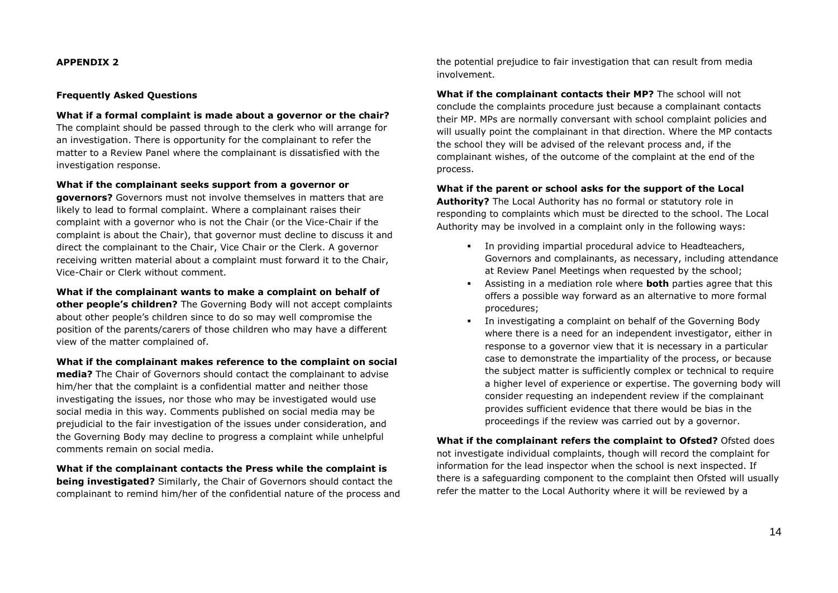#### **Frequently Asked Questions**

**What if a formal complaint is made about a governor or the chair?** The complaint should be passed through to the clerk who will arrange for an investigation. There is opportunity for the complainant to refer the matter to a Review Panel where the complainant is dissatisfied with the investigation response.

#### **What if the complainant seeks support from a governor or**

**governors?** Governors must not involve themselves in matters that are likely to lead to formal complaint. Where a complainant raises their complaint with a governor who is not the Chair (or the Vice-Chair if the complaint is about the Chair), that governor must decline to discuss it and direct the complainant to the Chair, Vice Chair or the Clerk. A governor receiving written material about a complaint must forward it to the Chair, Vice-Chair or Clerk without comment.

**What if the complainant wants to make a complaint on behalf of other people's children?** The Governing Body will not accept complaints about other people's children since to do so may well compromise the position of the parents/carers of those children who may have a different view of the matter complained of.

**What if the complainant makes reference to the complaint on social media?** The Chair of Governors should contact the complainant to advise

him/her that the complaint is a confidential matter and neither those investigating the issues, nor those who may be investigated would use social media in this way. Comments published on social media may be prejudicial to the fair investigation of the issues under consideration, and the Governing Body may decline to progress a complaint while unhelpful comments remain on social media.

**What if the complainant contacts the Press while the complaint is being investigated?** Similarly, the Chair of Governors should contact the complainant to remind him/her of the confidential nature of the process and the potential prejudice to fair investigation that can result from media involvement.

**What if the complainant contacts their MP?** The school will not conclude the complaints procedure just because a complainant contacts their MP. MPs are normally conversant with school complaint policies and will usually point the complainant in that direction. Where the MP contacts the school they will be advised of the relevant process and, if the complainant wishes, of the outcome of the complaint at the end of the process.

**What if the parent or school asks for the support of the Local** 

**Authority?** The Local Authority has no formal or statutory role in responding to complaints which must be directed to the school. The Local Authority may be involved in a complaint only in the following ways:

- In providing impartial procedural advice to Headteachers, Governors and complainants, as necessary, including attendance at Review Panel Meetings when requested by the school;
- Assisting in a mediation role where **both** parties agree that this offers a possible way forward as an alternative to more formal procedures;
- In investigating a complaint on behalf of the Governing Body where there is a need for an independent investigator, either in response to a governor view that it is necessary in a particular case to demonstrate the impartiality of the process, or because the subject matter is sufficiently complex or technical to require a higher level of experience or expertise. The governing body will consider requesting an independent review if the complainant provides sufficient evidence that there would be bias in the proceedings if the review was carried out by a governor.

**What if the complainant refers the complaint to Ofsted?** Ofsted does not investigate individual complaints, though will record the complaint for information for the lead inspector when the school is next inspected. If there is a safeguarding component to the complaint then Ofsted will usually refer the matter to the Local Authority where it will be reviewed by a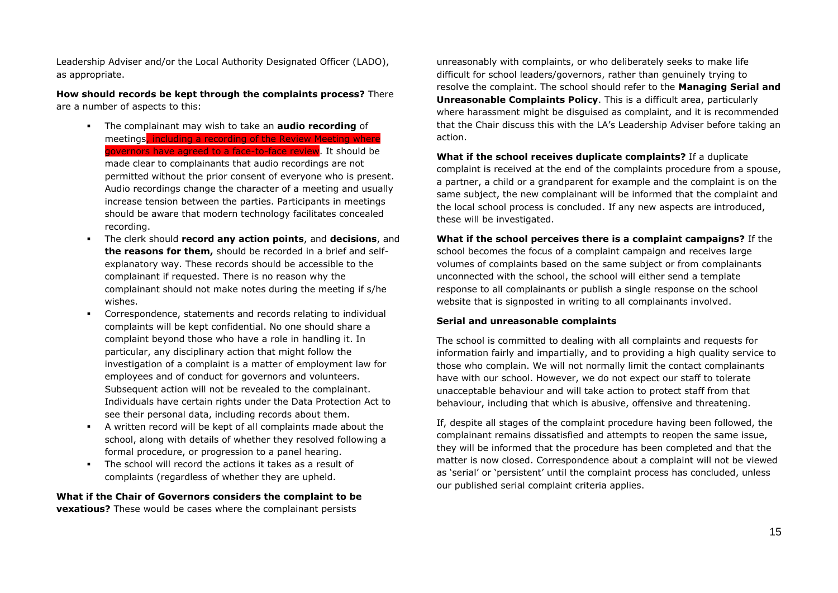Leadership Adviser and/or the Local Authority Designated Officer (LADO), as appropriate.

**How should records be kept through the complaints process?** There are a number of aspects to this:

- The complainant may wish to take an **audio recording** of meetings, including a recording of the Review Meeting where governors have agreed to a face-to-face review. It should be made clear to complainants that audio recordings are not permitted without the prior consent of everyone who is present. Audio recordings change the character of a meeting and usually increase tension between the parties. Participants in meetings should be aware that modern technology facilitates concealed recording.
- The clerk should **record any action points**, and **decisions**, and **the reasons for them,** should be recorded in a brief and selfexplanatory way. These records should be accessible to the complainant if requested. There is no reason why the complainant should not make notes during the meeting if s/he wishes.
- Correspondence, statements and records relating to individual complaints will be kept confidential. No one should share a complaint beyond those who have a role in handling it. In particular, any disciplinary action that might follow the investigation of a complaint is a matter of employment law for employees and of conduct for governors and volunteers. Subsequent action will not be revealed to the complainant. Individuals have certain rights under the Data Protection Act to see their personal data, including records about them.
- A written record will be kept of all complaints made about the school, along with details of whether they resolved following a formal procedure, or progression to a panel hearing.
- The school will record the actions it takes as a result of complaints (regardless of whether they are upheld.

**What if the Chair of Governors considers the complaint to be vexatious?** These would be cases where the complainant persists

unreasonably with complaints, or who deliberately seeks to make life difficult for school leaders/governors, rather than genuinely trying to resolve the complaint. The school should refer to the **Managing Serial and Unreasonable Complaints Policy**. This is a difficult area, particularly where harassment might be disguised as complaint, and it is recommended that the Chair discuss this with the LA's Leadership Adviser before taking an action.

**What if the school receives duplicate complaints?** If a duplicate complaint is received at the end of the complaints procedure from a spouse, a partner, a child or a grandparent for example and the complaint is on the same subject, the new complainant will be informed that the complaint and the local school process is concluded. If any new aspects are introduced, these will be investigated.

**What if the school perceives there is a complaint campaigns?** If the school becomes the focus of a complaint campaign and receives large volumes of complaints based on the same subject or from complainants unconnected with the school, the school will either send a template response to all complainants or publish a single response on the school website that is signposted in writing to all complainants involved.

### **Serial and unreasonable complaints**

The school is committed to dealing with all complaints and requests for information fairly and impartially, and to providing a high quality service to those who complain. We will not normally limit the contact complainants have with our school. However, we do not expect our staff to tolerate unacceptable behaviour and will take action to protect staff from that behaviour, including that which is abusive, offensive and threatening.

If, despite all stages of the complaint procedure having been followed, the complainant remains dissatisfied and attempts to reopen the same issue, they will be informed that the procedure has been completed and that the matter is now closed. Correspondence about a complaint will not be viewed as 'serial' or 'persistent' until the complaint process has concluded, unless our published serial complaint criteria applies.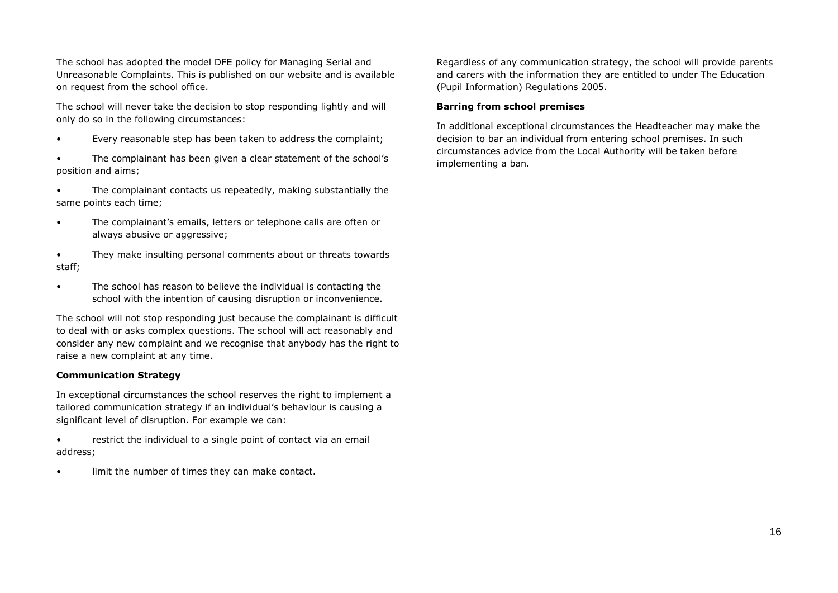The school has adopted the model DFE policy for Managing Serial and Unreasonable Complaints. This is published on our website and is available on request from the school office.

The school will never take the decision to stop responding lightly and will only do so in the following circumstances:

- Every reasonable step has been taken to address the complaint;
- The complainant has been given a clear statement of the school's position and aims;
- The complainant contacts us repeatedly, making substantially the same points each time;
- The complainant's emails, letters or telephone calls are often or always abusive or aggressive;
- They make insulting personal comments about or threats towards staff;
- The school has reason to believe the individual is contacting the school with the intention of causing disruption or inconvenience.

The school will not stop responding just because the complainant is difficult to deal with or asks complex questions. The school will act reasonably and consider any new complaint and we recognise that anybody has the right to raise a new complaint at any time.

### **Communication Strategy**

In exceptional circumstances the school reserves the right to implement a tailored communication strategy if an individual's behaviour is causing a significant level of disruption. For example we can:

- restrict the individual to a single point of contact via an email address;
- limit the number of times they can make contact.

Regardless of any communication strategy, the school will provide parents and carers with the information they are entitled to under The Education (Pupil Information) Regulations 2005.

### **Barring from school premises**

In additional exceptional circumstances the Headteacher may make the decision to bar an individual from entering school premises. In such circumstances advice from the Local Authority will be taken before implementing a ban.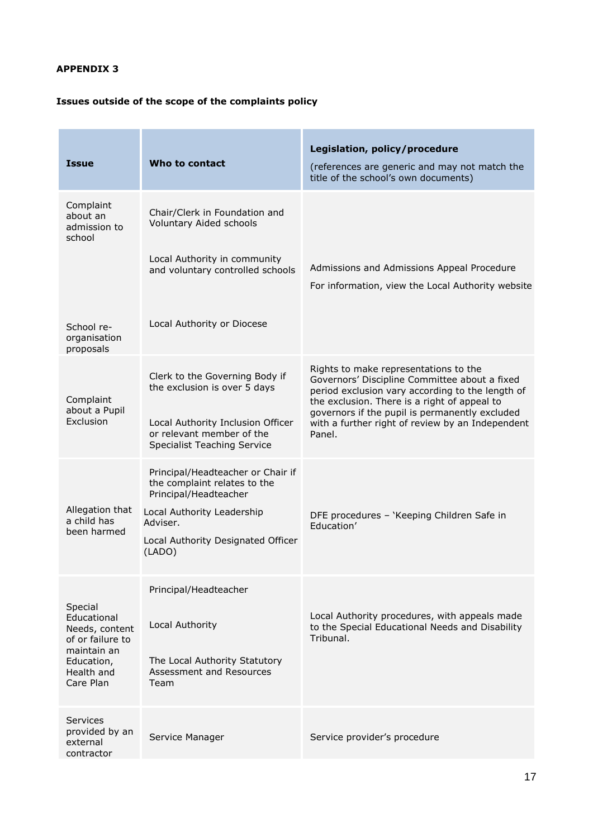# **Issues outside of the scope of the complaints policy**

| <b>Issue</b>                                                                                                         | Who to contact                                                                                       | Legislation, policy/procedure<br>(references are generic and may not match the<br>title of the school's own documents)                                                                     |
|----------------------------------------------------------------------------------------------------------------------|------------------------------------------------------------------------------------------------------|--------------------------------------------------------------------------------------------------------------------------------------------------------------------------------------------|
| Complaint<br>about an<br>admission to<br>school                                                                      | Chair/Clerk in Foundation and<br>Voluntary Aided schools                                             |                                                                                                                                                                                            |
|                                                                                                                      | Local Authority in community<br>and voluntary controlled schools                                     | Admissions and Admissions Appeal Procedure<br>For information, view the Local Authority website                                                                                            |
| School re-<br>organisation<br>proposals                                                                              | Local Authority or Diocese                                                                           |                                                                                                                                                                                            |
| Complaint                                                                                                            | Clerk to the Governing Body if<br>the exclusion is over 5 days                                       | Rights to make representations to the<br>Governors' Discipline Committee about a fixed<br>period exclusion vary according to the length of<br>the exclusion. There is a right of appeal to |
| about a Pupil<br>Exclusion                                                                                           | Local Authority Inclusion Officer<br>or relevant member of the<br><b>Specialist Teaching Service</b> | governors if the pupil is permanently excluded<br>with a further right of review by an Independent<br>Panel.                                                                               |
|                                                                                                                      | Principal/Headteacher or Chair if<br>the complaint relates to the<br>Principal/Headteacher           |                                                                                                                                                                                            |
| Allegation that<br>a child has<br>been harmed                                                                        | Local Authority Leadership<br>Adviser.<br>Local Authority Designated Officer<br>(LADO)               | DFE procedures - 'Keeping Children Safe in<br>Education'                                                                                                                                   |
| Special<br>Educational<br>Needs, content<br>of or failure to<br>maintain an<br>Education,<br>Health and<br>Care Plan | Principal/Headteacher                                                                                | Local Authority procedures, with appeals made                                                                                                                                              |
|                                                                                                                      | Local Authority<br>The Local Authority Statutory                                                     | to the Special Educational Needs and Disability<br>Tribunal.                                                                                                                               |
|                                                                                                                      | Assessment and Resources<br>Team                                                                     |                                                                                                                                                                                            |
| Services<br>provided by an<br>external<br>contractor                                                                 | Service Manager                                                                                      | Service provider's procedure                                                                                                                                                               |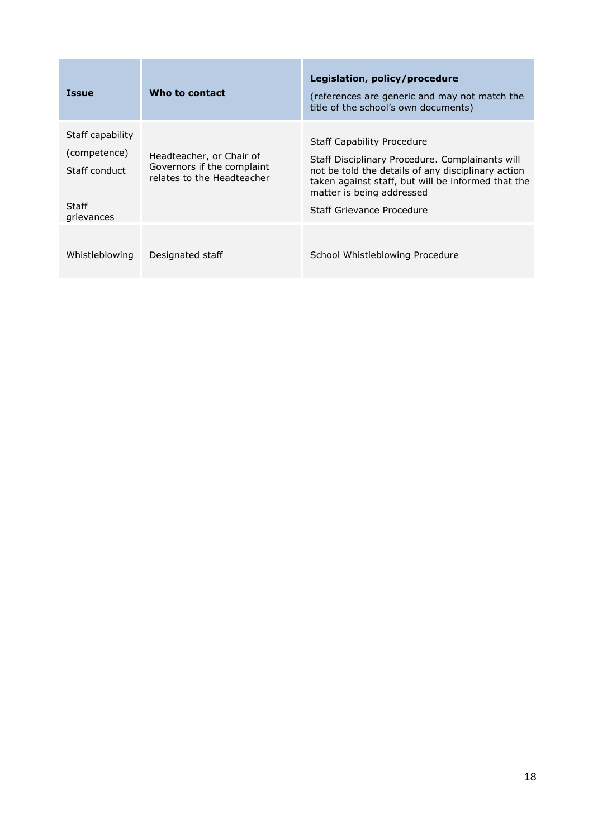| <b>Issue</b>                                                             | Who to contact                                                                       | Legislation, policy/procedure<br>(references are generic and may not match the<br>title of the school's own documents)                                                                                                                                     |
|--------------------------------------------------------------------------|--------------------------------------------------------------------------------------|------------------------------------------------------------------------------------------------------------------------------------------------------------------------------------------------------------------------------------------------------------|
| Staff capability<br>(competence)<br>Staff conduct<br>Staff<br>grievances | Headteacher, or Chair of<br>Governors if the complaint<br>relates to the Headteacher | <b>Staff Capability Procedure</b><br>Staff Disciplinary Procedure. Complainants will<br>not be told the details of any disciplinary action<br>taken against staff, but will be informed that the<br>matter is being addressed<br>Staff Grievance Procedure |
| Whistleblowing                                                           | Designated staff                                                                     | School Whistleblowing Procedure                                                                                                                                                                                                                            |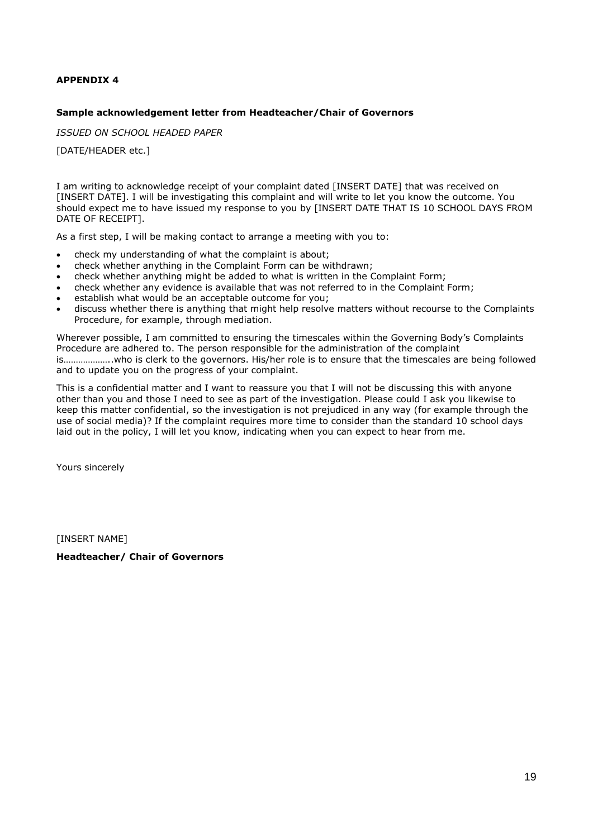### **Sample acknowledgement letter from Headteacher/Chair of Governors**

*ISSUED ON SCHOOL HEADED PAPER*

[DATE/HEADER etc.]

I am writing to acknowledge receipt of your complaint dated [INSERT DATE] that was received on [INSERT DATE]. I will be investigating this complaint and will write to let you know the outcome. You should expect me to have issued my response to you by [INSERT DATE THAT IS 10 SCHOOL DAYS FROM DATE OF RECEIPT].

As a first step, I will be making contact to arrange a meeting with you to:

- check my understanding of what the complaint is about;
- check whether anything in the Complaint Form can be withdrawn;
- check whether anything might be added to what is written in the Complaint Form;
- check whether any evidence is available that was not referred to in the Complaint Form;
- establish what would be an acceptable outcome for you;
- discuss whether there is anything that might help resolve matters without recourse to the Complaints Procedure, for example, through mediation.

Wherever possible, I am committed to ensuring the timescales within the Governing Body's Complaints Procedure are adhered to. The person responsible for the administration of the complaint is………………..who is clerk to the governors. His/her role is to ensure that the timescales are being followed and to update you on the progress of your complaint.

This is a confidential matter and I want to reassure you that I will not be discussing this with anyone other than you and those I need to see as part of the investigation. Please could I ask you likewise to keep this matter confidential, so the investigation is not prejudiced in any way (for example through the use of social media)? If the complaint requires more time to consider than the standard 10 school days laid out in the policy, I will let you know, indicating when you can expect to hear from me.

Yours sincerely

[INSERT NAME]

**Headteacher/ Chair of Governors**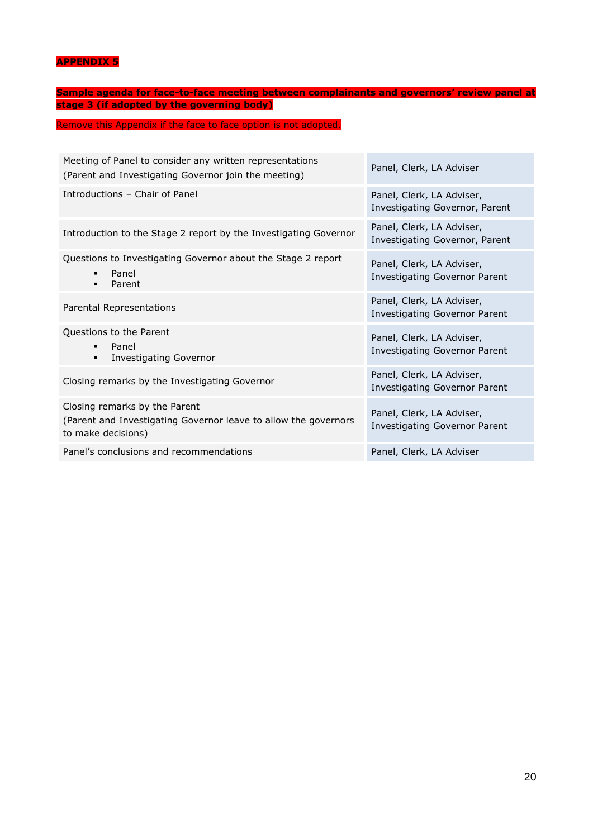**Sample agenda for face-to-face meeting between complainants and governors' review panel at stage 3 (if adopted by the governing body)**

### Remove this Appendix if the face to face option is not adopted.

| Meeting of Panel to consider any written representations<br>(Parent and Investigating Governor join the meeting)       | Panel, Clerk, LA Adviser                                          |
|------------------------------------------------------------------------------------------------------------------------|-------------------------------------------------------------------|
| Introductions - Chair of Panel                                                                                         | Panel, Clerk, LA Adviser,<br>Investigating Governor, Parent       |
| Introduction to the Stage 2 report by the Investigating Governor                                                       | Panel, Clerk, LA Adviser,<br>Investigating Governor, Parent       |
| Questions to Investigating Governor about the Stage 2 report<br>Panel<br>$\blacksquare$<br>Parent<br>$\blacksquare$    | Panel, Clerk, LA Adviser,<br><b>Investigating Governor Parent</b> |
| Parental Representations                                                                                               | Panel, Clerk, LA Adviser,<br><b>Investigating Governor Parent</b> |
| Questions to the Parent<br>Panel<br>$\blacksquare$<br><b>Investigating Governor</b><br>$\blacksquare$                  | Panel, Clerk, LA Adviser,<br>Investigating Governor Parent        |
| Closing remarks by the Investigating Governor                                                                          | Panel, Clerk, LA Adviser,<br>Investigating Governor Parent        |
| Closing remarks by the Parent<br>(Parent and Investigating Governor leave to allow the governors<br>to make decisions) | Panel, Clerk, LA Adviser,<br><b>Investigating Governor Parent</b> |
| Panel's conclusions and recommendations                                                                                | Panel, Clerk, LA Adviser                                          |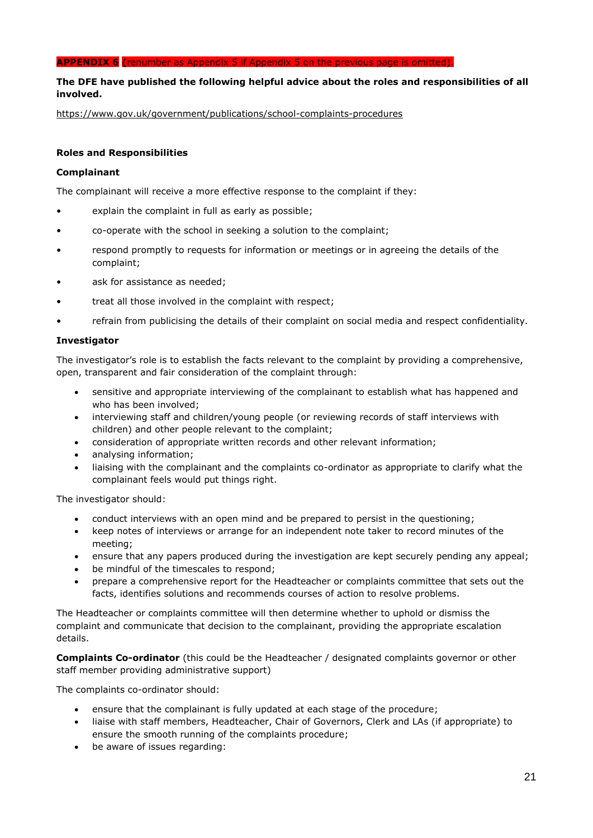### **APPENDIX 6 (**renumber as Appendix 5 if Appendix 5 on the previous page is omitted).

### **The DFE have published the following helpful advice about the roles and responsibilities of all involved.**

<https://www.gov.uk/government/publications/school-complaints-procedures>

### **Roles and Responsibilities**

### **Complainant**

The complainant will receive a more effective response to the complaint if they:

- explain the complaint in full as early as possible;
- co-operate with the school in seeking a solution to the complaint;
- respond promptly to requests for information or meetings or in agreeing the details of the complaint;
- ask for assistance as needed:
- treat all those involved in the complaint with respect;
- refrain from publicising the details of their complaint on social media and respect confidentiality.

### **Investigator**

The investigator's role is to establish the facts relevant to the complaint by providing a comprehensive, open, transparent and fair consideration of the complaint through:

- sensitive and appropriate interviewing of the complainant to establish what has happened and who has been involved;
- interviewing staff and children/young people (or reviewing records of staff interviews with children) and other people relevant to the complaint;
- consideration of appropriate written records and other relevant information;
- analysing information;
- liaising with the complainant and the complaints co-ordinator as appropriate to clarify what the complainant feels would put things right.

The investigator should:

- conduct interviews with an open mind and be prepared to persist in the questioning;
- keep notes of interviews or arrange for an independent note taker to record minutes of the meeting;
- ensure that any papers produced during the investigation are kept securely pending any appeal;
- be mindful of the timescales to respond;
- prepare a comprehensive report for the Headteacher or complaints committee that sets out the facts, identifies solutions and recommends courses of action to resolve problems.

The Headteacher or complaints committee will then determine whether to uphold or dismiss the complaint and communicate that decision to the complainant, providing the appropriate escalation details.

**Complaints Co-ordinator** (this could be the Headteacher / designated complaints governor or other staff member providing administrative support)

The complaints co-ordinator should:

- ensure that the complainant is fully updated at each stage of the procedure;
- liaise with staff members, Headteacher, Chair of Governors, Clerk and LAs (if appropriate) to ensure the smooth running of the complaints procedure;
- be aware of issues regarding: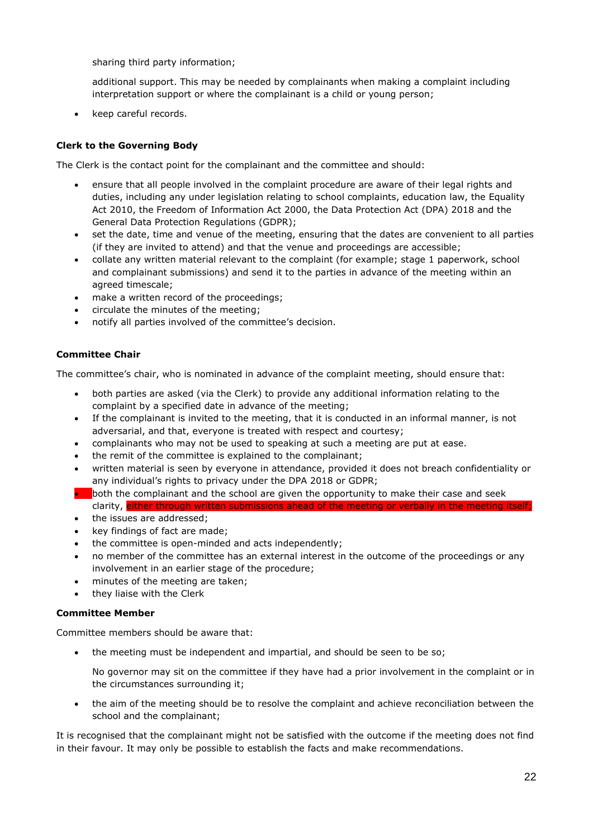sharing third party information;

additional support. This may be needed by complainants when making a complaint including interpretation support or where the complainant is a child or young person;

keep careful records.

### **Clerk to the Governing Body**

The Clerk is the contact point for the complainant and the committee and should:

- ensure that all people involved in the complaint procedure are aware of their legal rights and duties, including any under legislation relating to school complaints, education law, the Equality Act 2010, the Freedom of Information Act 2000, the Data Protection Act (DPA) 2018 and the General Data Protection Regulations (GDPR);
- set the date, time and venue of the meeting, ensuring that the dates are convenient to all parties (if they are invited to attend) and that the venue and proceedings are accessible;
- collate any written material relevant to the complaint (for example; stage 1 paperwork, school and complainant submissions) and send it to the parties in advance of the meeting within an agreed timescale;
- make a written record of the proceedings;
- circulate the minutes of the meeting;
- notify all parties involved of the committee's decision.

### **Committee Chair**

The committee's chair, who is nominated in advance of the complaint meeting, should ensure that:

- both parties are asked (via the Clerk) to provide any additional information relating to the complaint by a specified date in advance of the meeting;
- If the complainant is invited to the meeting, that it is conducted in an informal manner, is not adversarial, and that, everyone is treated with respect and courtesy;
- complainants who may not be used to speaking at such a meeting are put at ease.
- the remit of the committee is explained to the complainant;
- written material is seen by everyone in attendance, provided it does not breach confidentiality or any individual's rights to privacy under the DPA 2018 or GDPR;
- **both the complainant and the school are given the opportunity to make their case and seek** clarity, either through written submissions ahead of the meeting or verbally
- the issues are addressed;
- key findings of fact are made;
- the committee is open-minded and acts independently;
- no member of the committee has an external interest in the outcome of the proceedings or any involvement in an earlier stage of the procedure;
- minutes of the meeting are taken;
- they liaise with the Clerk

### **Committee Member**

Committee members should be aware that:

the meeting must be independent and impartial, and should be seen to be so;

No governor may sit on the committee if they have had a prior involvement in the complaint or in the circumstances surrounding it;

 the aim of the meeting should be to resolve the complaint and achieve reconciliation between the school and the complainant;

It is recognised that the complainant might not be satisfied with the outcome if the meeting does not find in their favour. It may only be possible to establish the facts and make recommendations.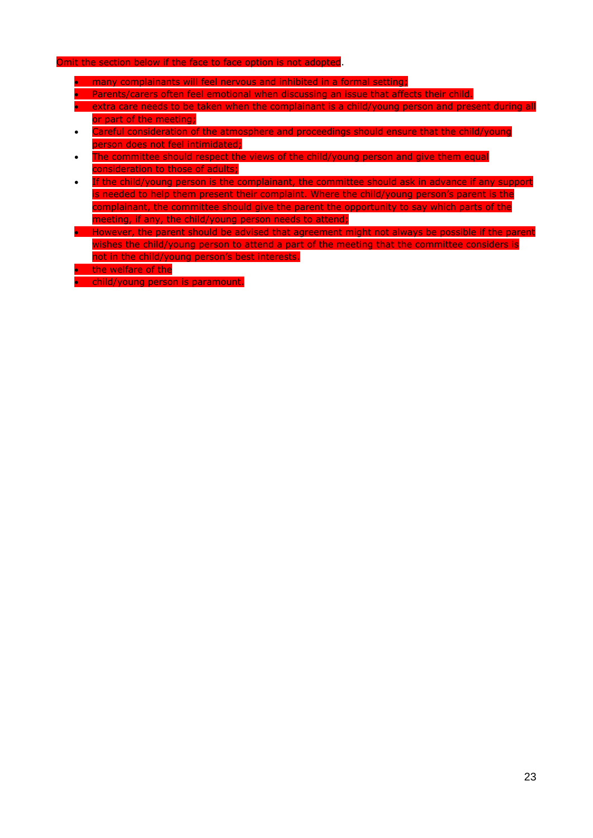### Omit the section below if the face to face option is not adopted.

- many complainants will feel nervous and inhibited in a formal setting;
- **•** Parents/carers often feel emotional when discussing an issue that affects their child.
- extra care needs to be taken when the complainant is a child/young person and present during all or part of the meeting;
- Careful consideration of the atmosphere and proceedings should ensure that the child/young person does not feel intimidated;
- The committee should respect the views of the child/young person and give them equal consideration to those of adults;
- If the child/young person is the complainant, the committee should ask in advance if any support is needed to help them present their complaint. Where the child/young person's parent is the complainant, the committee should give the parent the opportunity to say which parts of the meeting, if any, the child/young person needs to attend;
- However, the parent should be advised that agreement might not always be possible if the parent wishes the child/young person to attend a part of the meeting that the committee considers is not in the child/young person's best interests.
- **the welfare of the**

child/young person is paramount.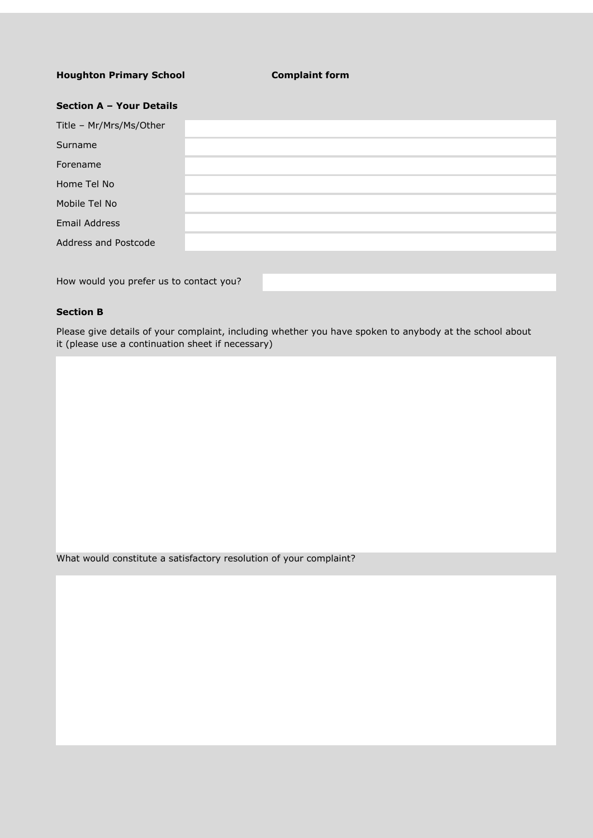### **Houghton Primary School Complaint form**

| Section A - Your Details |  |
|--------------------------|--|
| Title - Mr/Mrs/Ms/Other  |  |
| Surname                  |  |
| Forename                 |  |
| Home Tel No              |  |
| Mobile Tel No            |  |
| <b>Email Address</b>     |  |
| Address and Postcode     |  |
|                          |  |
|                          |  |

How would you prefer us to contact you?

### **Section B**

Please give details of your complaint, including whether you have spoken to anybody at the school about it (please use a continuation sheet if necessary)

What would constitute a satisfactory resolution of your complaint?